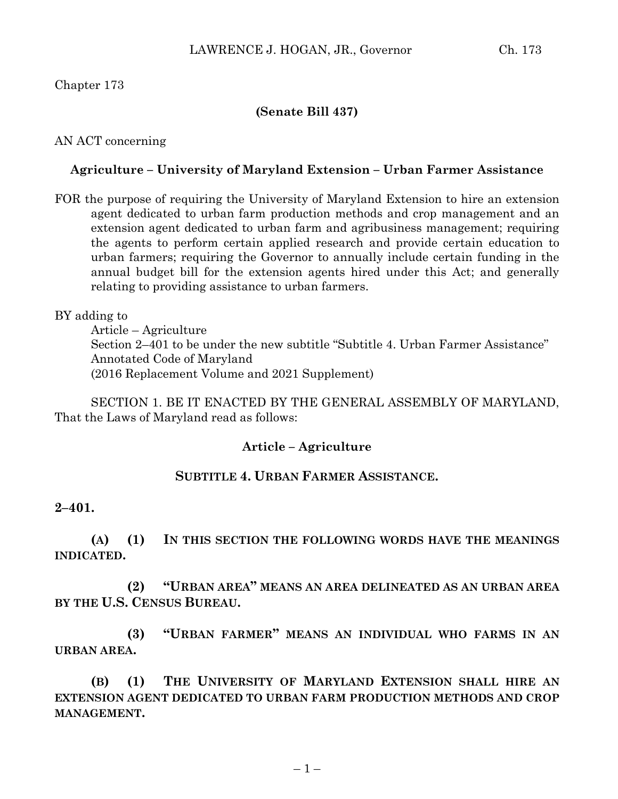# Chapter 173

## **(Senate Bill 437)**

## AN ACT concerning

## **Agriculture – University of Maryland Extension – Urban Farmer Assistance**

FOR the purpose of requiring the University of Maryland Extension to hire an extension agent dedicated to urban farm production methods and crop management and an extension agent dedicated to urban farm and agribusiness management; requiring the agents to perform certain applied research and provide certain education to urban farmers; requiring the Governor to annually include certain funding in the annual budget bill for the extension agents hired under this Act; and generally relating to providing assistance to urban farmers.

BY adding to

Article – Agriculture Section 2–401 to be under the new subtitle "Subtitle 4. Urban Farmer Assistance" Annotated Code of Maryland (2016 Replacement Volume and 2021 Supplement)

SECTION 1. BE IT ENACTED BY THE GENERAL ASSEMBLY OF MARYLAND, That the Laws of Maryland read as follows:

## **Article – Agriculture**

### **SUBTITLE 4. URBAN FARMER ASSISTANCE.**

#### **2–401.**

**(A) (1) IN THIS SECTION THE FOLLOWING WORDS HAVE THE MEANINGS INDICATED.**

**(2) "URBAN AREA" MEANS AN AREA DELINEATED AS AN URBAN AREA BY THE U.S. CENSUS BUREAU.**

**(3) "URBAN FARMER" MEANS AN INDIVIDUAL WHO FARMS IN AN URBAN AREA.**

**(B) (1) THE UNIVERSITY OF MARYLAND EXTENSION SHALL HIRE AN EXTENSION AGENT DEDICATED TO URBAN FARM PRODUCTION METHODS AND CROP MANAGEMENT.**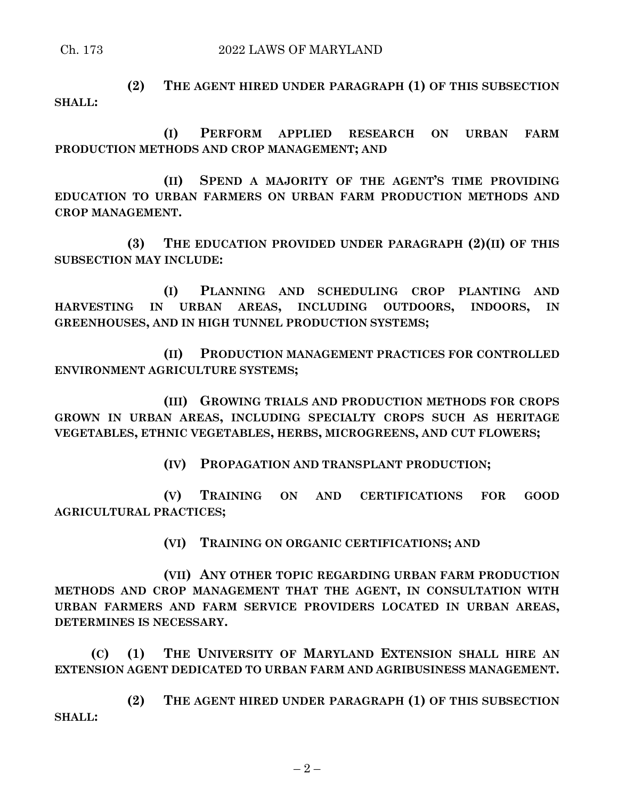**(2) THE AGENT HIRED UNDER PARAGRAPH (1) OF THIS SUBSECTION SHALL:**

**(I) PERFORM APPLIED RESEARCH ON URBAN FARM PRODUCTION METHODS AND CROP MANAGEMENT; AND**

**(II) SPEND A MAJORITY OF THE AGENT'S TIME PROVIDING EDUCATION TO URBAN FARMERS ON URBAN FARM PRODUCTION METHODS AND CROP MANAGEMENT.**

**(3) THE EDUCATION PROVIDED UNDER PARAGRAPH (2)(II) OF THIS SUBSECTION MAY INCLUDE:**

**(I) PLANNING AND SCHEDULING CROP PLANTING AND HARVESTING IN URBAN AREAS, INCLUDING OUTDOORS, INDOORS, IN GREENHOUSES, AND IN HIGH TUNNEL PRODUCTION SYSTEMS;**

**(II) PRODUCTION MANAGEMENT PRACTICES FOR CONTROLLED ENVIRONMENT AGRICULTURE SYSTEMS;**

**(III) GROWING TRIALS AND PRODUCTION METHODS FOR CROPS GROWN IN URBAN AREAS, INCLUDING SPECIALTY CROPS SUCH AS HERITAGE VEGETABLES, ETHNIC VEGETABLES, HERBS, MICROGREENS, AND CUT FLOWERS;**

**(IV) PROPAGATION AND TRANSPLANT PRODUCTION;**

**(V) TRAINING ON AND CERTIFICATIONS FOR GOOD AGRICULTURAL PRACTICES;**

**(VI) TRAINING ON ORGANIC CERTIFICATIONS; AND**

**(VII) ANY OTHER TOPIC REGARDING URBAN FARM PRODUCTION METHODS AND CROP MANAGEMENT THAT THE AGENT, IN CONSULTATION WITH URBAN FARMERS AND FARM SERVICE PROVIDERS LOCATED IN URBAN AREAS, DETERMINES IS NECESSARY.**

**(C) (1) THE UNIVERSITY OF MARYLAND EXTENSION SHALL HIRE AN EXTENSION AGENT DEDICATED TO URBAN FARM AND AGRIBUSINESS MANAGEMENT.**

**(2) THE AGENT HIRED UNDER PARAGRAPH (1) OF THIS SUBSECTION SHALL:**